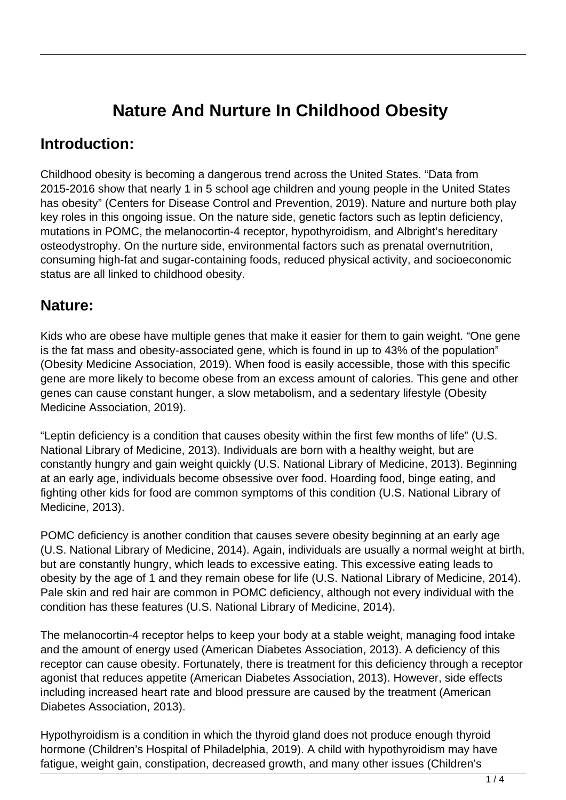# **Nature And Nurture In Childhood Obesity**

#### **Introduction:**

Childhood obesity is becoming a dangerous trend across the United States. "Data from 2015-2016 show that nearly 1 in 5 school age children and young people in the United States has obesity" (Centers for Disease Control and Prevention, 2019). Nature and nurture both play key roles in this ongoing issue. On the nature side, genetic factors such as leptin deficiency, mutations in POMC, the melanocortin-4 receptor, hypothyroidism, and Albright's hereditary osteodystrophy. On the nurture side, environmental factors such as prenatal overnutrition, consuming high-fat and sugar-containing foods, reduced physical activity, and socioeconomic status are all linked to childhood obesity.

### **Nature:**

Kids who are obese have multiple genes that make it easier for them to gain weight. "One gene is the fat mass and obesity-associated gene, which is found in up to 43% of the population" (Obesity Medicine Association, 2019). When food is easily accessible, those with this specific gene are more likely to become obese from an excess amount of calories. This gene and other genes can cause constant hunger, a slow metabolism, and a sedentary lifestyle (Obesity Medicine Association, 2019).

"Leptin deficiency is a condition that causes obesity within the first few months of life" (U.S. National Library of Medicine, 2013). Individuals are born with a healthy weight, but are constantly hungry and gain weight quickly (U.S. National Library of Medicine, 2013). Beginning at an early age, individuals become obsessive over food. Hoarding food, binge eating, and fighting other kids for food are common symptoms of this condition (U.S. National Library of Medicine, 2013).

POMC deficiency is another condition that causes severe obesity beginning at an early age (U.S. National Library of Medicine, 2014). Again, individuals are usually a normal weight at birth, but are constantly hungry, which leads to excessive eating. This excessive eating leads to obesity by the age of 1 and they remain obese for life (U.S. National Library of Medicine, 2014). Pale skin and red hair are common in POMC deficiency, although not every individual with the condition has these features (U.S. National Library of Medicine, 2014).

The melanocortin-4 receptor helps to keep your body at a stable weight, managing food intake and the amount of energy used (American Diabetes Association, 2013). A deficiency of this receptor can cause obesity. Fortunately, there is treatment for this deficiency through a receptor agonist that reduces appetite (American Diabetes Association, 2013). However, side effects including increased heart rate and blood pressure are caused by the treatment (American Diabetes Association, 2013).

Hypothyroidism is a condition in which the thyroid gland does not produce enough thyroid hormone (Children's Hospital of Philadelphia, 2019). A child with hypothyroidism may have fatigue, weight gain, constipation, decreased growth, and many other issues (Children's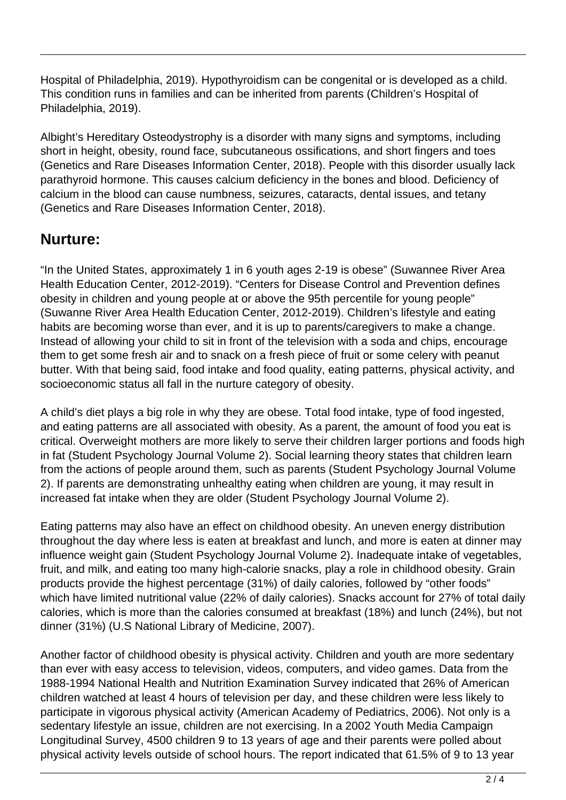Hospital of Philadelphia, 2019). Hypothyroidism can be congenital or is developed as a child. This condition runs in families and can be inherited from parents (Children's Hospital of Philadelphia, 2019).

Albight's Hereditary Osteodystrophy is a disorder with many signs and symptoms, including short in height, obesity, round face, subcutaneous ossifications, and short fingers and toes (Genetics and Rare Diseases Information Center, 2018). People with this disorder usually lack parathyroid hormone. This causes calcium deficiency in the bones and blood. Deficiency of calcium in the blood can cause numbness, seizures, cataracts, dental issues, and tetany (Genetics and Rare Diseases Information Center, 2018).

### **Nurture:**

"In the United States, approximately 1 in 6 youth ages 2-19 is obese" (Suwannee River Area Health Education Center, 2012-2019). "Centers for Disease Control and Prevention defines obesity in children and young people at or above the 95th percentile for young people" (Suwanne River Area Health Education Center, 2012-2019). Children's lifestyle and eating habits are becoming worse than ever, and it is up to parents/caregivers to make a change. Instead of allowing your child to sit in front of the television with a soda and chips, encourage them to get some fresh air and to snack on a fresh piece of fruit or some celery with peanut butter. With that being said, food intake and food quality, eating patterns, physical activity, and socioeconomic status all fall in the nurture category of obesity.

A child's diet plays a big role in why they are obese. Total food intake, type of food ingested, and eating patterns are all associated with obesity. As a parent, the amount of food you eat is critical. Overweight mothers are more likely to serve their children larger portions and foods high in fat (Student Psychology Journal Volume 2). Social learning theory states that children learn from the actions of people around them, such as parents (Student Psychology Journal Volume 2). If parents are demonstrating unhealthy eating when children are young, it may result in increased fat intake when they are older (Student Psychology Journal Volume 2).

Eating patterns may also have an effect on childhood obesity. An uneven energy distribution throughout the day where less is eaten at breakfast and lunch, and more is eaten at dinner may influence weight gain (Student Psychology Journal Volume 2). Inadequate intake of vegetables, fruit, and milk, and eating too many high-calorie snacks, play a role in childhood obesity. Grain products provide the highest percentage (31%) of daily calories, followed by "other foods" which have limited nutritional value (22% of daily calories). Snacks account for 27% of total daily calories, which is more than the calories consumed at breakfast (18%) and lunch (24%), but not dinner (31%) (U.S National Library of Medicine, 2007).

Another factor of childhood obesity is physical activity. Children and youth are more sedentary than ever with easy access to television, videos, computers, and video games. Data from the 1988-1994 National Health and Nutrition Examination Survey indicated that 26% of American children watched at least 4 hours of television per day, and these children were less likely to participate in vigorous physical activity (American Academy of Pediatrics, 2006). Not only is a sedentary lifestyle an issue, children are not exercising. In a 2002 Youth Media Campaign Longitudinal Survey, 4500 children 9 to 13 years of age and their parents were polled about physical activity levels outside of school hours. The report indicated that 61.5% of 9 to 13 year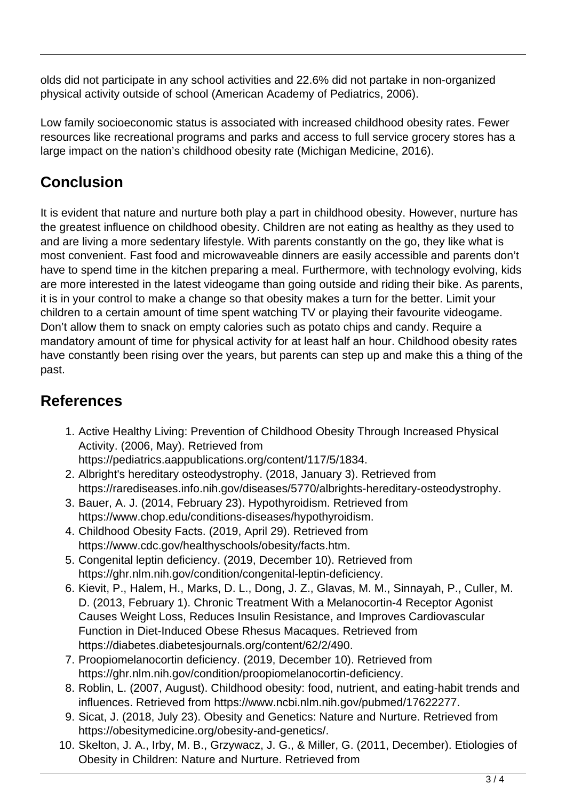olds did not participate in any school activities and 22.6% did not partake in non-organized physical activity outside of school (American Academy of Pediatrics, 2006).

Low family socioeconomic status is associated with increased childhood obesity rates. Fewer resources like recreational programs and parks and access to full service grocery stores has a large impact on the nation's childhood obesity rate (Michigan Medicine, 2016).

# **Conclusion**

It is evident that nature and nurture both play a part in childhood obesity. However, nurture has the greatest influence on childhood obesity. Children are not eating as healthy as they used to and are living a more sedentary lifestyle. With parents constantly on the go, they like what is most convenient. Fast food and microwaveable dinners are easily accessible and parents don't have to spend time in the kitchen preparing a meal. Furthermore, with technology evolving, kids are more interested in the latest videogame than going outside and riding their bike. As parents, it is in your control to make a change so that obesity makes a turn for the better. Limit your children to a certain amount of time spent watching TV or playing their favourite videogame. Don't allow them to snack on empty calories such as potato chips and candy. Require a mandatory amount of time for physical activity for at least half an hour. Childhood obesity rates have constantly been rising over the years, but parents can step up and make this a thing of the past.

## **References**

1. Active Healthy Living: Prevention of Childhood Obesity Through Increased Physical Activity. (2006, May). Retrieved from

https://pediatrics.aappublications.org/content/117/5/1834.

- 2. Albright's hereditary osteodystrophy. (2018, January 3). Retrieved from https://rarediseases.info.nih.gov/diseases/5770/albrights-hereditary-osteodystrophy.
- 3. Bauer, A. J. (2014, February 23). Hypothyroidism. Retrieved from https://www.chop.edu/conditions-diseases/hypothyroidism.
- 4. Childhood Obesity Facts. (2019, April 29). Retrieved from https://www.cdc.gov/healthyschools/obesity/facts.htm.
- 5. Congenital leptin deficiency. (2019, December 10). Retrieved from https://ghr.nlm.nih.gov/condition/congenital-leptin-deficiency.
- 6. Kievit, P., Halem, H., Marks, D. L., Dong, J. Z., Glavas, M. M., Sinnayah, P., Culler, M. D. (2013, February 1). Chronic Treatment With a Melanocortin-4 Receptor Agonist Causes Weight Loss, Reduces Insulin Resistance, and Improves Cardiovascular Function in Diet-Induced Obese Rhesus Macaques. Retrieved from https://diabetes.diabetesjournals.org/content/62/2/490.
- 7. Proopiomelanocortin deficiency. (2019, December 10). Retrieved from https://ghr.nlm.nih.gov/condition/proopiomelanocortin-deficiency.
- 8. Roblin, L. (2007, August). Childhood obesity: food, nutrient, and eating-habit trends and influences. Retrieved from https://www.ncbi.nlm.nih.gov/pubmed/17622277.
- 9. Sicat, J. (2018, July 23). Obesity and Genetics: Nature and Nurture. Retrieved from https://obesitymedicine.org/obesity-and-genetics/.
- 10. Skelton, J. A., Irby, M. B., Grzywacz, J. G., & Miller, G. (2011, December). Etiologies of Obesity in Children: Nature and Nurture. Retrieved from